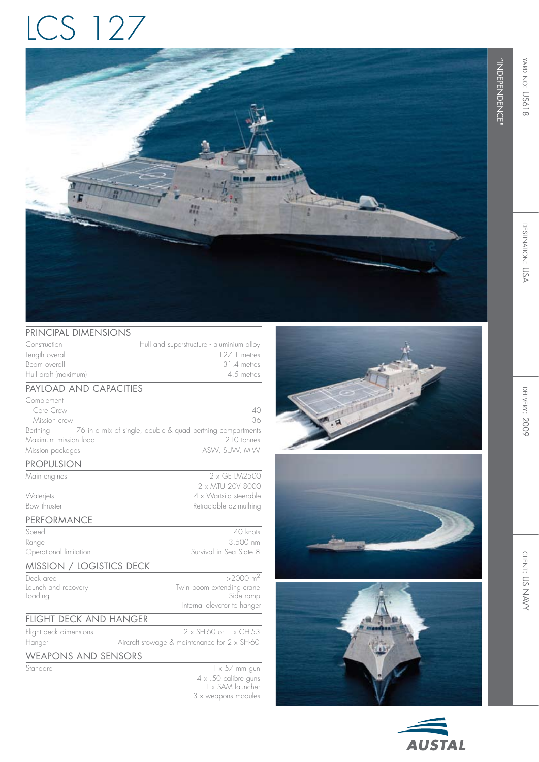## LCS 127



## PRINCIPAL DIMENSIONS

| $\overline{\mathcal{L}}$ . The state is the state of $\mathcal{L}$ |                                                            |
|--------------------------------------------------------------------|------------------------------------------------------------|
| Construction                                                       | Hull and superstructure - aluminium alloy                  |
| Length overall                                                     | 127.1 metres                                               |
| Beam overall                                                       | 31.4 metres                                                |
| Hull draft (maximum)                                               | 4.5 metres                                                 |
| PAYLOAD AND CAPACITIES                                             |                                                            |
| Complement                                                         |                                                            |
| Core Crew                                                          | 40                                                         |
| Mission crew                                                       | 36                                                         |
| Berthing                                                           | 76 in a mix of single, double & quad berthing compartments |
| Maximum mission load                                               | 210 tonnes                                                 |
| Mission packages                                                   | ASW, SUW, MIW                                              |
| <b>PROPULSION</b>                                                  |                                                            |
| Main engines                                                       | 2 x GF IM2500                                              |
|                                                                    | 2 x MTU 20V 8000                                           |
| Waterjets                                                          | 4 x Wartsila steerable                                     |
| Bow thruster                                                       | Retractable azimuthing                                     |
| PERFORMANCE                                                        |                                                            |
| Speed                                                              | 40 knots                                                   |
| Range                                                              | 3,500 nm                                                   |
| Operational limitation                                             | Survival in Sea State 8                                    |
| MISSION / LOGISTICS DECK                                           |                                                            |
| Deck area                                                          | $>2000 \text{ m}^2$                                        |
| Launch and recovery                                                | Twin boom extending crane                                  |
| Loading                                                            | Side ramp                                                  |
|                                                                    | Internal elevator to hanger                                |
| <b>FLIGHT DECK AND HANGER</b>                                      |                                                            |
| Flight deck dimensions                                             | $2 \times$ SH-60 or $1 \times$ CH-53                       |
| Hanger                                                             | Aircraft stowage & maintenance for 2 x SH-60               |
| <b>WEAPONS AND SENSORS</b>                                         |                                                            |
| Standard                                                           | $1 \times 57$ mm gun                                       |
|                                                                    | 4 x .50 calibre guns                                       |
|                                                                    | 1 x SAM launcher                                           |
|                                                                    | 3 x weapons modules                                        |









"INDEPENDENCE"

"BEPENDENCE"